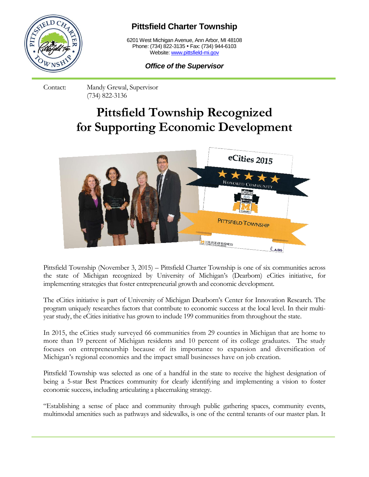

## **Pittsfield Charter Township**

6201 West Michigan Avenue, Ann Arbor, MI 48108 Phone: (734) 822-3135 • Fax: (734) 944-6103 Website[: www.pittsfield-mi.gov](http://www.pittsfield-mi.gov/)

*Office of the Supervisor*

Contact: Mandy Grewal, Supervisor (734) 822-3136

## **Pittsfield Township Recognized for Supporting Economic Development**



Pittsfield Township (November 3, 2015) – Pittsfield Charter Township is one of six communities across the state of Michigan recognized by University of Michigan's (Dearborn) eCities initiative, for implementing strategies that foster entrepreneurial growth and economic development.

The eCities initiative is part of University of Michigan Dearborn's Center for Innovation Research. The program uniquely researches factors that contribute to economic success at the local level. In their multiyear study, the eCities initiative has grown to include 199 communities from throughout the state.

In 2015, the eCities study surveyed 66 communities from 29 counties in Michigan that are home to more than 19 percent of Michigan residents and 10 percent of its college graduates. The study focuses on entrepreneurship because of its importance to expansion and diversification of Michigan's regional economies and the impact small businesses have on job creation.

Pittsfield Township was selected as one of a handful in the state to receive the highest designation of being a 5-star Best Practices community for clearly identifying and implementing a vision to foster economic success, including articulating a placemaking strategy.

"Establishing a sense of place and community through public gathering spaces, community events, multimodal amenities such as pathways and sidewalks, is one of the central tenants of our master plan. It